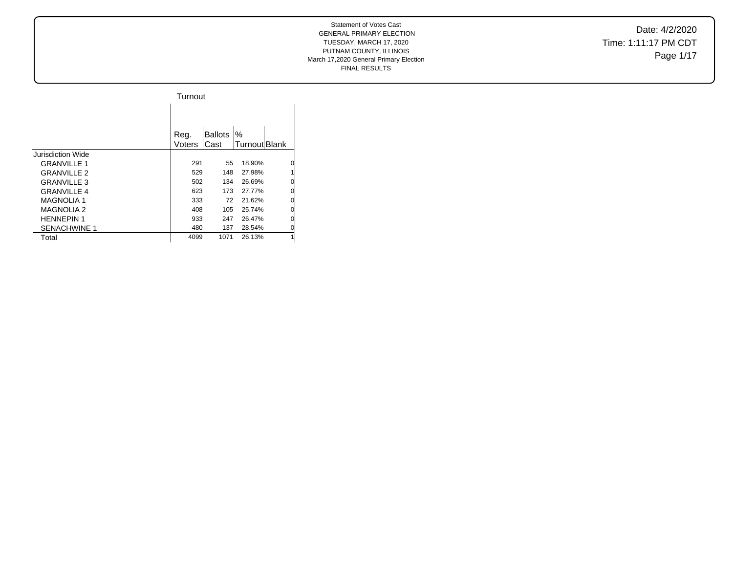Date: 4/2/2020 Time: 1:11:17 PM CDT Page 1/17

|                     | Turnout        |                         |                    |   |
|---------------------|----------------|-------------------------|--------------------|---|
|                     |                |                         |                    |   |
|                     | Reg.<br>Voters | <b>Ballots</b><br>lCast | %<br>Turnout Blank |   |
| Jurisdiction Wide   |                |                         |                    |   |
| <b>GRANVILLE 1</b>  | 291            | 55                      | 18.90%             | 0 |
| <b>GRANVILLE 2</b>  | 529            | 148                     | 27.98%             | 1 |
| <b>GRANVILLE 3</b>  | 502            | 134                     | 26.69%             | 0 |
| <b>GRANVILLE 4</b>  | 623            | 173                     | 27.77%             | 0 |
| <b>MAGNOLIA 1</b>   | 333            | 72                      | 21.62%             | 0 |
| <b>MAGNOLIA 2</b>   | 408            | 105                     | 25.74%             | 0 |
| <b>HENNEPIN 1</b>   | 933            | 247                     | 26.47%             | 0 |
| <b>SENACHWINE 1</b> | 480            | 137                     | 28.54%             | 0 |
| Total               | 4099           | 1071                    | 26.13%             | 1 |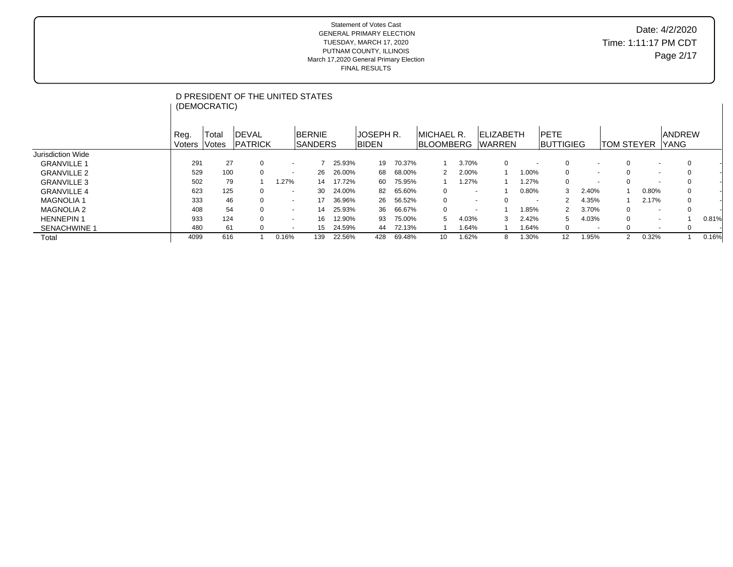# Date: 4/2/2020 Time: 1:11:17 PM CDT Page 2/17

|                     |        |              | D PRESIDENT OF THE UNITED STATES |                          |                 |        |                  |        |                  |                          |                   |                          |                   |                          |                   |                          |               |       |
|---------------------|--------|--------------|----------------------------------|--------------------------|-----------------|--------|------------------|--------|------------------|--------------------------|-------------------|--------------------------|-------------------|--------------------------|-------------------|--------------------------|---------------|-------|
|                     |        | (DEMOCRATIC) |                                  |                          |                 |        |                  |        |                  |                          |                   |                          |                   |                          |                   |                          |               |       |
|                     |        |              |                                  |                          |                 |        |                  |        |                  |                          |                   |                          |                   |                          |                   |                          |               |       |
|                     | Reg.   | Total        | <b>IDEVAL</b>                    |                          | <b>BERNIE</b>   |        | <b>JOSEPH R.</b> |        | IMICHAEL R.      |                          | <b>IELIZABETH</b> |                          | <b>IPETE</b>      |                          |                   |                          | <b>ANDREW</b> |       |
|                     | Voters | <b>Votes</b> | <b>PATRICK</b>                   |                          | <b>ISANDERS</b> |        | <b>BIDEN</b>     |        | <b>BLOOMBERG</b> |                          | <b>WARREN</b>     |                          | <b>BUTTIGIEG</b>  |                          | <b>TOM STEYER</b> |                          | <b>YANG</b>   |       |
| Jurisdiction Wide   |        |              |                                  |                          |                 |        |                  |        |                  |                          |                   |                          |                   |                          |                   |                          |               |       |
| <b>GRANVILLE 1</b>  | 291    | 27           | 0                                | $\sim$                   |                 | 25.93% | 19               | 70.37% |                  | 3.70%                    | 0                 |                          | 0                 |                          | 0                 | $\overline{\phantom{a}}$ |               |       |
| <b>GRANVILLE 2</b>  | 529    | 100          |                                  | $\overline{\phantom{a}}$ | 26              | 26.00% | 68               | 68.00% | 2                | 2.00%                    |                   | 1.00%                    | 0                 | $\sim$                   | $\Omega$          | $\overline{\phantom{a}}$ |               |       |
| <b>GRANVILLE 3</b>  | 502    | 79           |                                  | 1.27%                    | 14              | 17.72% | 60               | 75.95% |                  | 1.27%                    |                   | 1.27%                    | 0                 |                          | $\Omega$          | $\overline{\phantom{a}}$ |               |       |
| <b>GRANVILLE 4</b>  | 623    | 125          |                                  | $\sim$                   | 30              | 24.00% | 82               | 65.60% | 0                | $\overline{\phantom{0}}$ |                   | 0.80%                    | 3                 | 2.40%                    |                   | 0.80%                    |               |       |
| <b>MAGNOLIA1</b>    | 333    | 46           |                                  | $\overline{\phantom{a}}$ |                 | 36.96% | 26               | 56.52% | 0                | $\sim$                   |                   | $\overline{\phantom{a}}$ | 2                 | 4.35%                    |                   | 2.17%                    | 0             |       |
| <b>MAGNOLIA 2</b>   | 408    | 54           |                                  | $\overline{\phantom{a}}$ | 14              | 25.93% | 36               | 66.67% | $\Omega$         | $\overline{\phantom{a}}$ |                   | .85%                     | 2                 | 3.70%                    | 0                 | $\overline{\phantom{a}}$ |               |       |
| <b>HENNEPIN1</b>    | 933    | 124          |                                  | $\sim$                   | 16              | 12.90% | 93               | 75.00% | 5                | 4.03%                    | 3                 | 2.42%                    | 5                 | 4.03%                    | 0                 | $\overline{\phantom{0}}$ |               | 0.81% |
| <b>SENACHWINE 1</b> | 480    | 61           |                                  | $\overline{\phantom{a}}$ | 15              | 24.59% | 44               | 72.13% |                  | 1.64%                    |                   | 1.64%                    | $\mathbf{0}$      | $\overline{\phantom{a}}$ | 0                 | $\overline{\phantom{a}}$ | 0             |       |
| Total               | 4099   | 616          |                                  | 0.16%                    | 139             | 22.56% | 428              | 69.48% | 10               | 1.62%                    | 8                 | .30%                     | $12 \overline{ }$ | 1.95%                    | $\overline{2}$    | 0.32%                    |               | 0.16% |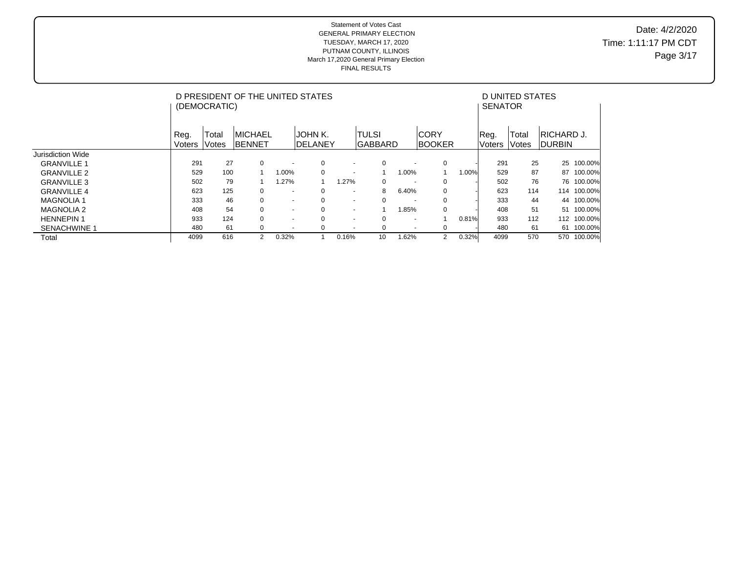## Date: 4/2/2020 Time: 1:11:17 PM CDT Page 3/17

|                     |                       | (DEMOCRATIC)   | D PRESIDENT OF THE UNITED STATES |                          |                            |                          |                          |                          |                              |       | <b>SENATOR</b>        | D UNITED STATES |                              |         |
|---------------------|-----------------------|----------------|----------------------------------|--------------------------|----------------------------|--------------------------|--------------------------|--------------------------|------------------------------|-------|-----------------------|-----------------|------------------------------|---------|
|                     | Reg.<br><b>Voters</b> | Total<br>Votes | IMICHAEL<br>IBENNET              |                          | JOHN K.<br><b>IDELANEY</b> |                          | ITULSI<br><b>GABBARD</b> |                          | <b>CORY</b><br><b>BOOKER</b> |       | Reg.<br><b>Voters</b> | Total<br>Votes  | IRICHARD J.<br><b>DURBIN</b> |         |
| Jurisdiction Wide   |                       |                |                                  |                          |                            |                          |                          |                          |                              |       |                       |                 |                              |         |
| <b>GRANVILLE 1</b>  | 291                   | 27             | $\mathbf 0$                      | $\overline{\phantom{a}}$ | $\mathbf 0$                | $\overline{\phantom{a}}$ | $\mathbf 0$              | $\overline{\phantom{a}}$ | $\mathbf 0$                  |       | 291                   | 25              | 25                           | 100.00% |
| <b>GRANVILLE 2</b>  | 529                   | 100            |                                  | $.00\%$                  | 0                          | $\overline{\phantom{a}}$ |                          | 1.00%                    |                              | 1.00% | 529                   | 87              | 87                           | 100.00% |
| <b>GRANVILLE 3</b>  | 502                   | 79             |                                  | .27%                     |                            | .27%                     | 0                        | $\overline{\phantom{a}}$ | 0                            |       | 502                   | 76              | 76                           | 100.00% |
| <b>GRANVILLE 4</b>  | 623                   | 125            | $\mathbf 0$                      | $\overline{\phantom{a}}$ | $\mathbf 0$                | $\overline{\phantom{a}}$ | 8                        | 6.40%                    | $\mathbf 0$                  |       | 623                   | 114             | 114                          | 100.00% |
| <b>MAGNOLIA 1</b>   | 333                   | 46             | 0                                | $\sim$                   | $\mathbf 0$                | $\overline{\phantom{a}}$ | $\mathbf 0$              | $\overline{\phantom{a}}$ | $\mathbf 0$                  |       | 333                   | 44              | 44                           | 100.00% |
| <b>MAGNOLIA 2</b>   | 408                   | 54             | $\mathbf 0$                      | $\sim$                   | $\mathbf 0$                | $\blacksquare$           |                          | 1.85%                    | 0                            |       | 408                   | 51              | 51                           | 100.00% |
| <b>HENNEPIN 1</b>   | 933                   | 124            | $\mathbf 0$                      | $\sim$                   | $\mathbf 0$                | $\overline{\phantom{a}}$ | $\mathbf 0$              | $\overline{\phantom{a}}$ |                              | 0.81% | 933                   | 112             | 112                          | 100.00% |
| <b>SENACHWINE 1</b> | 480                   | 61             | 0                                | $\sim$                   | 0                          | $\overline{\phantom{a}}$ | 0                        | $\overline{\phantom{a}}$ | 0                            |       | 480                   | 61              | 61                           | 100.00% |
| Total               | 4099                  | 616            | 2                                | 0.32%                    |                            | 0.16%                    | 10                       | 1.62%                    | 2                            | 0.32% | 4099                  | 570             | 570                          | 100.00% |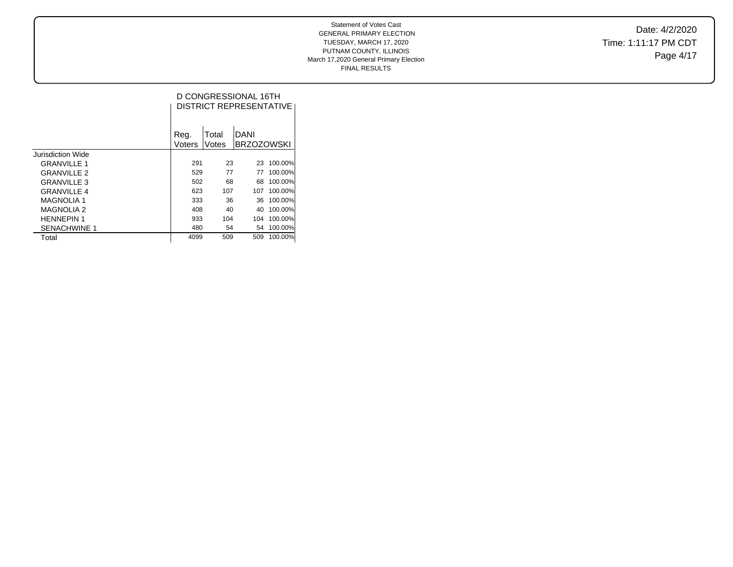Date: 4/2/2020 Time: 1:11:17 PM CDT Page 4/17

### Statement of Votes Cast GENERAL PRIMARY ELECTION TUESDAY, MARCH 17, 2020 PUTNAM COUNTY, ILLINOIS March 17,2020 General Primary Election FINAL RESULTS

|                     |        |       | D CONGRESSIONAL 16TH<br><b>DISTRICT REPRESENTATIVE</b> |         |
|---------------------|--------|-------|--------------------------------------------------------|---------|
|                     | Reg.   | Total | DANI                                                   |         |
|                     | Voters | Votes | <b>BRZOZOWSKI</b>                                      |         |
| Jurisdiction Wide   |        |       |                                                        |         |
| <b>GRANVILLE 1</b>  | 291    | 23    | 23                                                     | 100.00% |
| <b>GRANVILLE 2</b>  | 529    | 77    | 77                                                     | 100.00% |
| <b>GRANVILLE 3</b>  | 502    | 68    | 68                                                     | 100.00% |
| <b>GRANVILLE 4</b>  | 623    | 107   | 107                                                    | 100.00% |
| <b>MAGNOLIA 1</b>   | 333    | 36    | 36                                                     | 100.00% |
| <b>MAGNOLIA 2</b>   | 408    | 40    | 40                                                     | 100.00% |
| <b>HENNEPIN 1</b>   | 933    | 104   | 104                                                    | 100.00% |
| <b>SENACHWINE 1</b> | 480    | 54    | 54                                                     | 100.00% |
| Total               | 4099   | 509   | 509                                                    | 100.00% |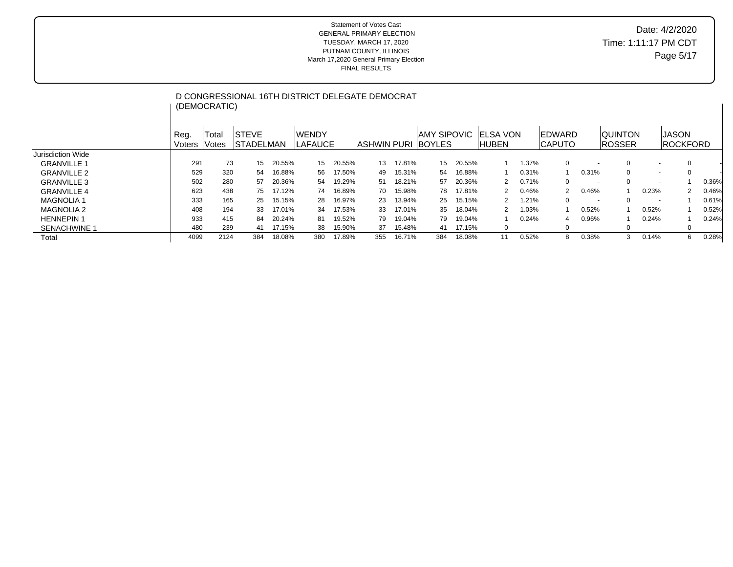|                     |                | (DEMOCRATIC)   |                                   |        | D CONGRESSIONAL 16TH DISTRICT DELEGATE DEMOCRAT |        |                      |        |                    |        |                     |                          |                                  |                          |                                 |                          |                                 |       |
|---------------------|----------------|----------------|-----------------------------------|--------|-------------------------------------------------|--------|----------------------|--------|--------------------|--------|---------------------|--------------------------|----------------------------------|--------------------------|---------------------------------|--------------------------|---------------------------------|-------|
|                     | Reg.<br>Voters | Total<br>Votes | <b>ISTEVE</b><br><b>STADELMAN</b> |        | lwendy<br><b>LAFAUCE</b>                        |        | IASHWIN PURI IBOYLES |        | <b>AMY SIPOVIC</b> |        | IELSA VON<br>IHUBEN |                          | <b>IEDWARD</b><br><b>ICAPUTO</b> |                          | <b>QUINTON</b><br><b>ROSSER</b> |                          | <b>JASON</b><br><b>ROCKFORD</b> |       |
| Jurisdiction Wide   |                |                |                                   |        |                                                 |        |                      |        |                    |        |                     |                          |                                  |                          |                                 |                          |                                 |       |
| <b>GRANVILLE 1</b>  | 291            | 73             | 15                                | 20.55% | 15                                              | 20.55% | 13                   | 17.81% | 15                 | 20.55% |                     | 1.37%                    | 0                                | $\overline{\phantom{a}}$ | 0                               |                          | 0                               |       |
| <b>GRANVILLE 2</b>  | 529            | 320            | 54                                | 16.88% | 56                                              | 17.50% | 49                   | 15.31% | 54                 | 16.88% |                     | 0.31%                    |                                  | 0.31%                    | 0                               | $\sim$                   | $\Omega$                        |       |
| <b>GRANVILLE 3</b>  | 502            | 280            | 57                                | 20.36% | 54                                              | 19.29% | 51                   | 18.21% | 57                 | 20.36% |                     | 0.71%                    | $\Omega$                         | $\overline{\phantom{a}}$ | $\Omega$                        |                          |                                 | 0.36% |
| <b>GRANVILLE 4</b>  | 623            | 438            | 75.                               | 17.12% | 74                                              | 16.89% | 70                   | 15.98% | 78                 | 17.81% | 2                   | 0.46%                    | $\mathcal{P}$                    | 0.46%                    |                                 | 0.23%                    |                                 | 0.46% |
| <b>MAGNOLIA1</b>    | 333            | 165            | 25                                | 15.15% | 28                                              | 16.97% | 23                   | 13.94% | 25                 | 15.15% |                     | 1.21%                    | $\Omega$                         | $\sim$                   | $\Omega$                        | $\overline{\phantom{a}}$ |                                 | 0.61% |
| <b>MAGNOLIA 2</b>   | 408            | 194            | 33                                | 17.01% | 34                                              | 17.53% | 33                   | 17.01% | 35                 | 18.04% | 2                   | 1.03%                    |                                  | 0.52%                    |                                 | 0.52%                    |                                 | 0.52% |
| <b>HENNEPIN1</b>    | 933            | 415            | 84                                | 20.24% | 81                                              | 19.52% | 79                   | 19.04% | 79                 | 19.04% |                     | 0.24%                    |                                  | 0.96%                    |                                 | 0.24%                    |                                 | 0.24% |
| <b>SENACHWINE 1</b> | 480            | 239            | 41                                | 17.15% | 38                                              | 15.90% | 37                   | 15.48% | 41                 | 17.15% | 0                   | $\overline{\phantom{a}}$ | 0                                | $\overline{\phantom{a}}$ | $\Omega$                        | $\overline{\phantom{a}}$ | $\mathbf{0}$                    |       |
| Total               | 4099           | 2124           | 384                               | 18.08% | 380                                             | 17.89% | 355                  | 16.71% | 384                | 18.08% | 11                  | 0.52%                    | 8                                | 0.38%                    | 3                               | 0.14%                    | 6                               | 0.28% |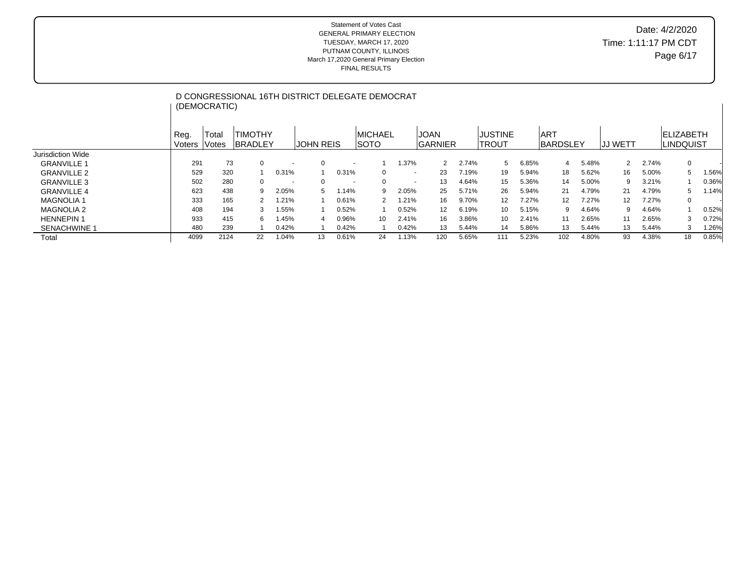|                     |                | (DEMOCRATIC)   |                                  |                          | D CONGRESSIONAL 16TH DISTRICT DELEGATE DEMOCRAT |                          |                                |        |                         |       |                                |       |                         |       |                |       |                                 |       |
|---------------------|----------------|----------------|----------------------------------|--------------------------|-------------------------------------------------|--------------------------|--------------------------------|--------|-------------------------|-------|--------------------------------|-------|-------------------------|-------|----------------|-------|---------------------------------|-------|
|                     | Reg.<br>Voters | Total<br>Votes | <b>TIMOTHY</b><br><b>BRADLEY</b> |                          | <b>JOHN REIS</b>                                |                          | <b>IMICHAEL</b><br><b>SOTO</b> |        | <b>JOAN</b><br>IGARNIER |       | <b>JUSTINE</b><br><b>TROUT</b> |       | IART<br><b>BARDSLEY</b> |       | <b>JJ WETT</b> |       | <b>FI IZABETH</b><br>ILINDQUIST |       |
| Jurisdiction Wide   |                |                |                                  |                          |                                                 |                          |                                |        |                         |       |                                |       |                         |       |                |       |                                 |       |
| <b>GRANVILLE 1</b>  | 291            | 73             | $\mathbf 0$                      |                          | 0                                               | $\overline{\phantom{a}}$ |                                | 1.37%  | 2                       | 2.74% | 5                              | 6.85% | 4                       | 5.48% | 2              | 2.74% | $\mathbf{0}$                    |       |
| <b>GRANVILLE 2</b>  | 529            | 320            |                                  | 0.31%                    |                                                 | 0.31%                    | 0                              | $\sim$ | 23                      | 7.19% | 19                             | 5.94% | 18                      | 5.62% | 16             | 5.00% | <sub>5</sub>                    | 1.56% |
| <b>GRANVILLE 3</b>  | 502            | 280            | $\Omega$                         | $\overline{\phantom{a}}$ | $\Omega$                                        | $\overline{\phantom{a}}$ | $\Omega$                       | $\sim$ | 13                      | 4.64% | 15                             | 5.36% | 14                      | 5.00% | 9              | 3.21% |                                 | 0.36% |
| <b>GRANVILLE 4</b>  | 623            | 438            | 9                                | 2.05%                    | 5                                               | 1.14%                    | 9                              | 2.05%  | 25                      | 5.71% | 26                             | 5.94% | 21                      | 4.79% | 21             | 4.79% | $\mathbf{b}$                    | 1.14% |
| <b>MAGNOLIA 1</b>   | 333            | 165            |                                  | 1.21%                    |                                                 | 0.61%                    | 2                              | 1.21%  | 16                      | 9.70% | 12                             | 7.27% | 12 <sup>2</sup>         | 7.27% | 12             | 7.27% | $\mathbf{0}$                    |       |
| <b>MAGNOLIA 2</b>   | 408            | 194            | 3                                | 1.55%                    |                                                 | 0.52%                    |                                | 0.52%  | 12                      | 6.19% | 10 <sup>1</sup>                | 5.15% | 9                       | 4.64% | 9              | 4.64% |                                 | 0.52% |
| <b>HENNEPIN 1</b>   | 933            | 415            | 6.                               | 1.45%                    | 4                                               | 0.96%                    | 10                             | 2.41%  | 16                      | 3.86% | 10                             | 2.41% | 11                      | 2.65% | 11             | 2.65% |                                 | 0.72% |
| <b>SENACHWINE 1</b> | 480            | 239            |                                  | 0.42%                    |                                                 | 0.42%                    |                                | 0.42%  | 13                      | 5.44% | 14                             | 5.86% | 13                      | 5.44% | 13             | 5.44% | 3                               | 1.26% |
| Total               | 4099           | 2124           | 22                               | 1.04%                    | 13                                              | 0.61%                    | 24                             | 1.13%  | 120                     | 5.65% | 111                            | 5.23% | 102                     | 4.80% | 93             | 4.38% | 18                              | 0.85% |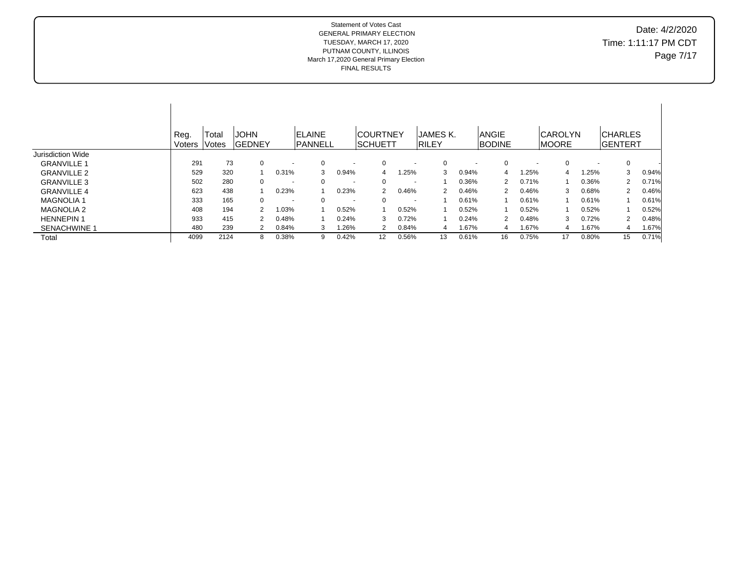# Date: 4/2/2020 Time: 1:11:17 PM CDT Page 7/17

|                          | Reg.<br>Voters | Total<br>Votes | <b>JOHN</b><br><b>GEDNEY</b> |                          | <b>ELAINE</b><br><b>PANNELL</b> |                          | <b>COURTNEY</b><br>ISCHUETT |                          | JAMES K.<br><b>RILEY</b> |                          | <b>ANGIE</b><br><b>BODINE</b> |                          | <b>CAROLYN</b><br><b>IMOORE</b> |                          | <b>CHARLES</b><br>IGENTERT |       |
|--------------------------|----------------|----------------|------------------------------|--------------------------|---------------------------------|--------------------------|-----------------------------|--------------------------|--------------------------|--------------------------|-------------------------------|--------------------------|---------------------------------|--------------------------|----------------------------|-------|
| <b>Jurisdiction Wide</b> |                |                |                              |                          |                                 |                          |                             |                          |                          |                          |                               |                          |                                 |                          |                            |       |
| <b>GRANVILLE 1</b>       | 291            | 73             | $\Omega$                     |                          | 0                               | $\overline{\phantom{a}}$ | $\Omega$                    | $\overline{\phantom{a}}$ | $\Omega$                 | $\overline{\phantom{a}}$ | $\mathbf 0$                   | $\overline{\phantom{a}}$ | 0                               | $\overline{\phantom{a}}$ | $\Omega$                   |       |
| <b>GRANVILLE 2</b>       | 529            | 320            |                              | 0.31%                    | 3                               | 0.94%                    | 4                           | 1.25%                    | 3                        | 0.94%                    | 4                             | .25%                     | 4                               | 1.25%                    | 3                          | 0.94% |
| <b>GRANVILLE 3</b>       | 502            | 280            | $\Omega$                     | $\overline{\phantom{a}}$ | 0                               | $\overline{\phantom{a}}$ | $\Omega$                    | $\overline{\phantom{a}}$ |                          | 0.36%                    | 2                             | 0.71%                    |                                 | 0.36%                    | $\overline{2}$             | 0.71% |
| <b>GRANVILLE 4</b>       | 623            | 438            |                              | 0.23%                    |                                 | 0.23%                    | 2                           | 0.46%                    | $\mathcal{P}$            | 0.46%                    | 2                             | 0.46%                    | 3                               | 0.68%                    | 2                          | 0.46% |
| <b>MAGNOLIA1</b>         | 333            | 165            | 0                            | $\overline{\phantom{a}}$ | 0                               | $\overline{\phantom{a}}$ | $\Omega$                    | $\overline{\phantom{a}}$ |                          | 0.61%                    |                               | 0.61%                    |                                 | 0.61%                    |                            | 0.61% |
| <b>MAGNOLIA 2</b>        | 408            | 194            | 2                            | 1.03%                    |                                 | 0.52%                    |                             | 0.52%                    |                          | 0.52%                    |                               | 0.52%                    |                                 | 0.52%                    |                            | 0.52% |
| <b>HENNEPIN 1</b>        | 933            | 415            |                              | 0.48%                    |                                 | 0.24%                    | 3                           | 0.72%                    |                          | 0.24%                    | 2                             | 0.48%                    | 3                               | 0.72%                    | 2                          | 0.48% |
| SENACHWINE *             | 480            | 239            |                              | 0.84%                    | 3                               | .26%                     | 2                           | 0.84%                    | 4                        | 1.67%                    | 4                             | 1.67%                    | 4                               | 1.67%                    | 4                          | 1.67% |
| Total                    | 4099           | 2124           | 8                            | 0.38%                    | 9                               | 0.42%                    | 12                          | 0.56%                    | 13                       | 0.61%                    | 16                            | 0.75%                    | 17                              | 0.80%                    | 15                         | 0.71% |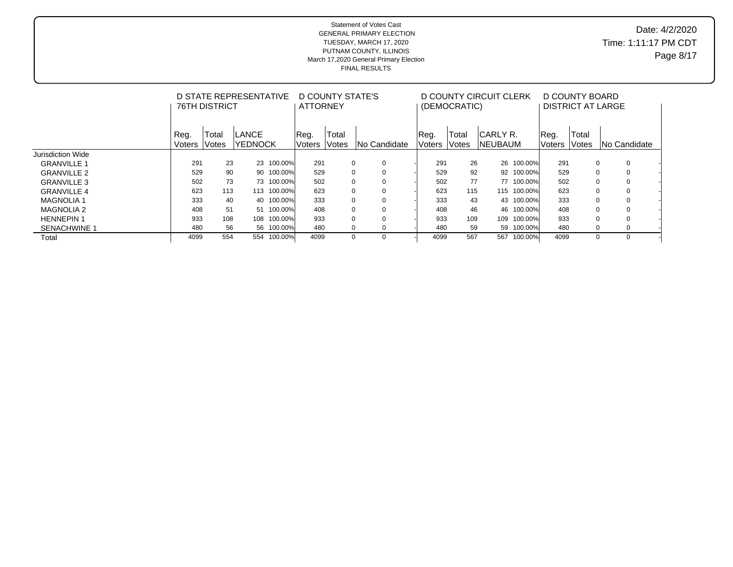## Date: 4/2/2020 Time: 1:11:17 PM CDT Page 8/17

|                     |                | <b>76TH DISTRICT</b> | D STATE REPRESENTATIVE  |         | <b>ATTORNEY</b>        | D COUNTY STATE'S |                         |                | (DEMOCRATIC)   | D COUNTY CIRCUIT CLERK       |             |                       | D COUNTY BOARD<br>DISTRICT AT LARGE |                     |  |
|---------------------|----------------|----------------------|-------------------------|---------|------------------------|------------------|-------------------------|----------------|----------------|------------------------------|-------------|-----------------------|-------------------------------------|---------------------|--|
|                     | Reg.<br>Voters | Total<br>Votes       | LANCE<br><b>YEDNOCK</b> |         | Reg.<br>Voters   Votes | Total            | INo Candidate           | Reg.<br>Voters | Total<br>Votes | ICARLY R.<br><b>INEUBAUM</b> |             | Req.<br><b>Noters</b> | Total<br>Votes                      | <b>No Candidate</b> |  |
| Jurisdiction Wide   |                |                      |                         |         |                        |                  |                         |                |                |                              |             |                       |                                     |                     |  |
| <b>GRANVILLE 1</b>  | 291            | 23                   | 23                      | 100.00% | 291                    |                  | 0<br>0                  | 291            | 26             |                              | 26 100.00%  | 291                   | 0                                   | $\mathbf 0$         |  |
| <b>GRANVILLE 2</b>  | 529            | 90                   | 90                      | 100.00% | 529                    |                  | 0<br>0                  | 529            | 92             |                              | 92 100.00%  | 529                   | $\Omega$                            | $\mathbf 0$         |  |
| <b>GRANVILLE 3</b>  | 502            | 73                   | 73                      | 100.00% | 502                    |                  | 0<br>0                  | 502            | 77             |                              | 77 100.00%  | 502                   |                                     | 0                   |  |
| <b>GRANVILLE 4</b>  | 623            | 113                  | 113                     | 100.00% | 623                    |                  | 0<br>0                  | 623            | 115            |                              | 115 100.00% | 623                   | $\Omega$                            | 0                   |  |
| <b>MAGNOLIA1</b>    | 333            | 40                   | 40                      | 100.00% | 333                    |                  | $\mathbf 0$<br>$\Omega$ | 333            | 43             |                              | 43 100.00%  | 333                   | U                                   | $\mathbf 0$         |  |
| <b>MAGNOLIA 2</b>   | 408            | 51                   | 51                      | 100.00% | 408                    |                  | $\mathbf 0$<br>$\Omega$ | 408            | 46             |                              | 46 100.00%  | 408                   |                                     | $\Omega$            |  |
| <b>HENNEPIN 1</b>   | 933            | 108                  | 108                     | 100.00% | 933                    |                  | $\mathbf 0$<br>$\Omega$ | 933            | 109            | 109                          | 100.00%     | 933                   |                                     | $\Omega$            |  |
| <b>SENACHWINE 1</b> | 480            | 56                   | 56                      | 100.00% | 480                    |                  | 0<br>0                  | 480            | 59             |                              | 59 100.00%  | 480                   | 0                                   | 0                   |  |
| Total               | 4099           | 554                  | 554                     | 100.00% | 4099                   |                  | 0<br>$\Omega$           | 4099           | 567            | 567                          | 100.00%     | 4099                  | 0                                   | $\Omega$            |  |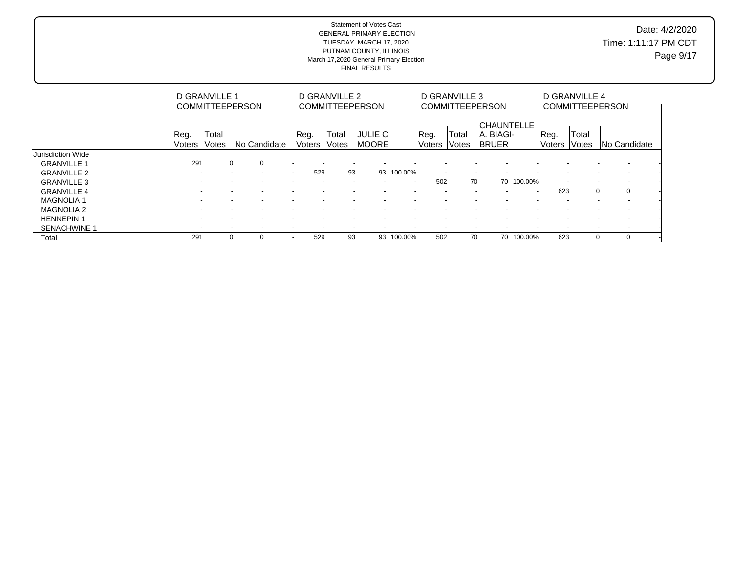Date: 4/2/2020 Time: 1:11:17 PM CDT Page 9/17

|                     |                          | D GRANVILLE 1  | <b>COMMITTEEPERSON</b>   |                | D GRANVILLE 2            | <b>COMMITTEEPERSON</b>                               |            |                | D GRANVILLE 3         | <b>COMMITTEEPERSON</b>                          |            |                          | D GRANVILLE 4  | <b>COMMITTEEPERSON</b>   |  |
|---------------------|--------------------------|----------------|--------------------------|----------------|--------------------------|------------------------------------------------------|------------|----------------|-----------------------|-------------------------------------------------|------------|--------------------------|----------------|--------------------------|--|
|                     | Reg.<br><b>Voters</b>    | Total<br>Votes | INo Candidate            | Reg.<br>Voters | Total<br>lVotes          | <b>JULIE C</b><br><b>IMOORE</b>                      |            | Reg.<br>Voters | Total<br><b>Votes</b> | <b>CHAUNTELLE</b><br>IA. BIAGI-<br><b>BRUER</b> |            | Reg.<br><b>Voters</b>    | Total<br>Votes | INo Candidate            |  |
| Jurisdiction Wide   |                          |                |                          |                |                          |                                                      |            |                |                       |                                                 |            |                          |                |                          |  |
| <b>GRANVILLE 1</b>  | 291                      |                | $\mathbf 0$<br>0         |                | $\overline{\phantom{a}}$ | $\overline{\phantom{a}}$                             |            |                |                       |                                                 |            |                          |                |                          |  |
| <b>GRANVILLE 2</b>  |                          |                | $\overline{\phantom{a}}$ | 529            | 93                       |                                                      | 93 100.00% |                |                       | $\sim$<br>$\overline{\phantom{a}}$              |            | $\overline{\phantom{a}}$ |                | $\overline{\phantom{a}}$ |  |
| <b>GRANVILLE 3</b>  |                          |                | $\overline{\phantom{a}}$ |                | $\overline{\phantom{a}}$ | $\overline{\phantom{a}}$                             |            | 502            | 70                    |                                                 | 70 100.00% | $\overline{\phantom{a}}$ |                |                          |  |
| <b>GRANVILLE 4</b>  |                          |                | $\overline{\phantom{a}}$ |                |                          |                                                      |            |                |                       |                                                 |            | 623                      |                | $\Omega$<br>$\mathbf 0$  |  |
| <b>MAGNOLIA 1</b>   |                          |                | $\overline{\phantom{a}}$ |                |                          | $\overline{\phantom{0}}$                             |            |                |                       | $\overline{\phantom{a}}$                        |            | $\overline{\phantom{a}}$ |                |                          |  |
| <b>MAGNOLIA 2</b>   |                          |                | $\overline{\phantom{a}}$ |                |                          | $\overline{\phantom{a}}$<br>$\overline{\phantom{a}}$ |            |                |                       | $\overline{a}$                                  |            | $\overline{\phantom{a}}$ |                | $\overline{\phantom{0}}$ |  |
| <b>HENNEPIN1</b>    |                          |                | $\overline{\phantom{a}}$ |                |                          | $\overline{\phantom{a}}$<br>$\overline{\phantom{a}}$ |            |                |                       | $\sim$                                          |            |                          |                | $\overline{\phantom{0}}$ |  |
| <b>SENACHWINE 1</b> | $\overline{\phantom{0}}$ |                | $\overline{\phantom{a}}$ |                | $\sim$                   | $\overline{\phantom{a}}$                             |            |                |                       | $\overline{\phantom{a}}$                        |            | $\overline{\phantom{a}}$ |                | $\overline{\phantom{a}}$ |  |
| Total               | 291                      |                | 0                        | 529            | 93                       |                                                      | 93 100.00% | 502            | 70                    |                                                 | 70 100.00% | 623                      |                | $\Omega$<br>0            |  |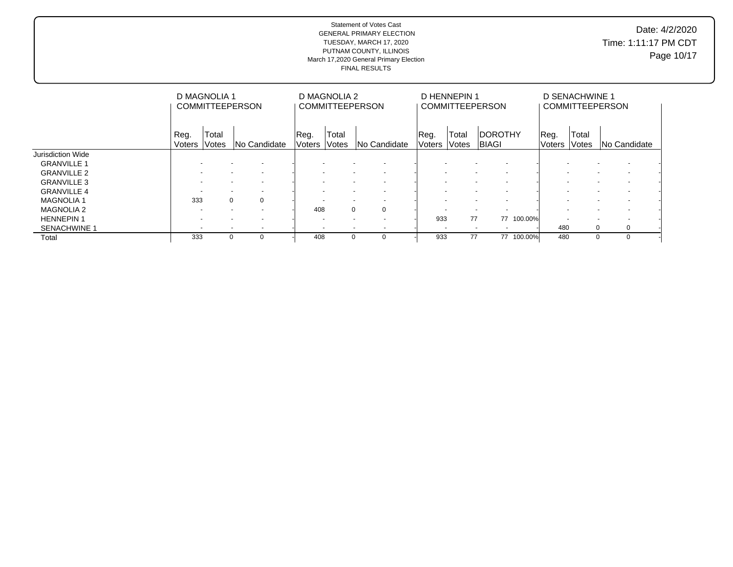Date: 4/2/2020 Time: 1:11:17 PM CDT Page 10/17

|                     |                          | D MAGNOLIA 1                                                                                      | <b>COMMITTEEPERSON</b>                               |  |                          | D MAGNOLIA 2            | <b>COMMITTEEPERSON</b>                               |                | D HENNEPIN 1          | <b>COMMITTEEPERSON</b>          |            |                          | D SENACHWINE 1 | <b>COMMITTEEPERSON</b>                               |  |
|---------------------|--------------------------|---------------------------------------------------------------------------------------------------|------------------------------------------------------|--|--------------------------|-------------------------|------------------------------------------------------|----------------|-----------------------|---------------------------------|------------|--------------------------|----------------|------------------------------------------------------|--|
|                     | Reg.<br>Voters           | Total<br>Votes<br>INo Candidate<br>$\sim$<br>$\overline{\phantom{a}}$<br>$\overline{\phantom{a}}$ |                                                      |  |                          | Total<br>Voters   Votes | <b>No Candidate</b>                                  | Reg.<br>Voters | Total<br><b>Votes</b> | <b>IDOROTHY</b><br><b>BIAGI</b> |            | Reg.<br><b>Voters</b>    | Total<br>Votes | <b>No Candidate</b>                                  |  |
| Jurisdiction Wide   |                          |                                                                                                   |                                                      |  |                          |                         |                                                      |                |                       |                                 |            |                          |                |                                                      |  |
| <b>GRANVILLE 1</b>  |                          |                                                                                                   |                                                      |  |                          |                         |                                                      |                |                       |                                 |            |                          |                |                                                      |  |
| <b>GRANVILLE 2</b>  |                          |                                                                                                   |                                                      |  | $\overline{\phantom{a}}$ |                         | $\overline{\phantom{a}}$<br>$\overline{\phantom{a}}$ |                |                       | $\sim$                          |            | $\overline{\phantom{a}}$ |                | $\overline{\phantom{a}}$<br>$\overline{\phantom{a}}$ |  |
| <b>GRANVILLE 3</b>  | $\overline{\phantom{a}}$ |                                                                                                   | $\overline{\phantom{a}}$                             |  | $\overline{\phantom{a}}$ |                         | $\overline{\phantom{a}}$                             |                |                       | $\sim$                          |            | $\overline{\phantom{a}}$ |                |                                                      |  |
| <b>GRANVILLE 4</b>  |                          |                                                                                                   | $\overline{\phantom{a}}$                             |  |                          |                         | $\overline{\phantom{0}}$                             |                |                       | $\overline{\phantom{a}}$        |            | $\overline{\phantom{a}}$ |                |                                                      |  |
| <b>MAGNOLIA1</b>    | 333                      |                                                                                                   | $\Omega$<br>$\Omega$                                 |  |                          |                         | $\overline{\phantom{a}}$<br>$\overline{\phantom{a}}$ |                |                       | $\overline{\phantom{a}}$        |            |                          |                |                                                      |  |
| <b>MAGNOLIA 2</b>   | $\overline{\phantom{a}}$ |                                                                                                   | $\overline{\phantom{0}}$<br>$\overline{\phantom{a}}$ |  | 408                      |                         | $\mathbf 0$<br>$\mathbf 0$                           |                |                       | $\sim$                          |            | $\overline{\phantom{a}}$ |                |                                                      |  |
| <b>HENNEPIN1</b>    |                          |                                                                                                   |                                                      |  | $\overline{\phantom{a}}$ |                         | $\overline{\phantom{a}}$<br>$\overline{\phantom{0}}$ | 933            | 77                    |                                 | 77 100.00% | $\overline{\phantom{a}}$ |                |                                                      |  |
| <b>SENACHWINE 1</b> | $\overline{\phantom{a}}$ |                                                                                                   | $\overline{\phantom{0}}$                             |  |                          |                         | $\overline{\phantom{a}}$<br>$\overline{\phantom{a}}$ |                |                       | $\sim$                          |            | 480                      | 0              | 0                                                    |  |
| Total               | 333                      | $\Omega$                                                                                          |                                                      |  | 408                      |                         | $\mathbf 0$<br>$\Omega$                              | 933            | 77                    |                                 | 77 100.00% | 480                      |                | $\Omega$<br>0                                        |  |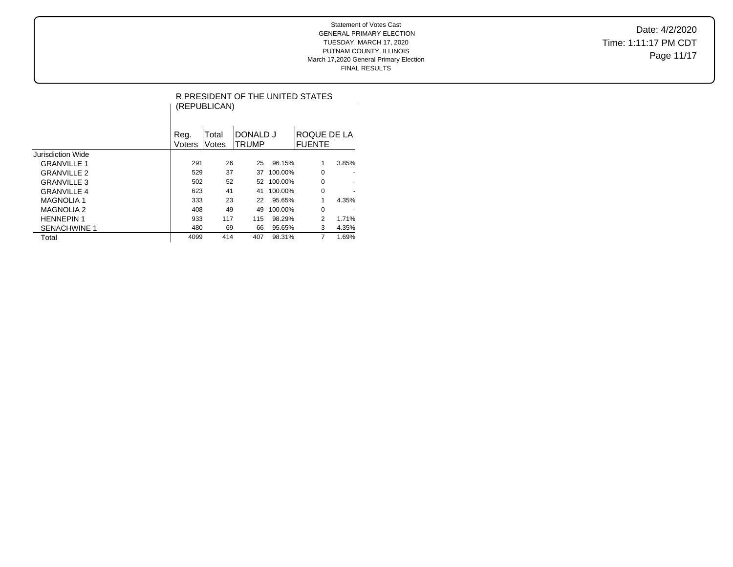Date: 4/2/2020 Time: 1:11:17 PM CDT Page 11/17

|                     |                | (REPUBLICAN)   |                          |         | R PRESIDENT OF THE UNITED STATES |       |
|---------------------|----------------|----------------|--------------------------|---------|----------------------------------|-------|
|                     | Reg.<br>Voters | Total<br>Votes | DONALD J<br><b>TRUMP</b> |         | ROQUE DE LA<br><b>FUENTE</b>     |       |
| Jurisdiction Wide   |                |                |                          |         |                                  |       |
| <b>GRANVILLE 1</b>  | 291            | 26             | 25                       | 96.15%  | 1                                | 3.85% |
| <b>GRANVILLE 2</b>  | 529            | 37             | 37                       | 100.00% | 0                                | -     |
| <b>GRANVILLE 3</b>  | 502            | 52             | 52                       | 100.00% | 0                                |       |
| <b>GRANVILLE 4</b>  | 623            | 41             | 41                       | 100.00% | 0                                |       |
| <b>MAGNOLIA1</b>    | 333            | 23             | 22                       | 95.65%  |                                  | 4.35% |
| <b>MAGNOLIA 2</b>   | 408            | 49             | 49                       | 100.00% | 0                                | -     |
| <b>HENNEPIN 1</b>   | 933            | 117            | 115                      | 98.29%  | 2                                | 1.71% |
| <b>SENACHWINE 1</b> | 480            | 69             | 66                       | 95.65%  | 3                                | 4.35% |
| Total               | 4099           | 414            | 407                      | 98.31%  | 7                                | 1.69% |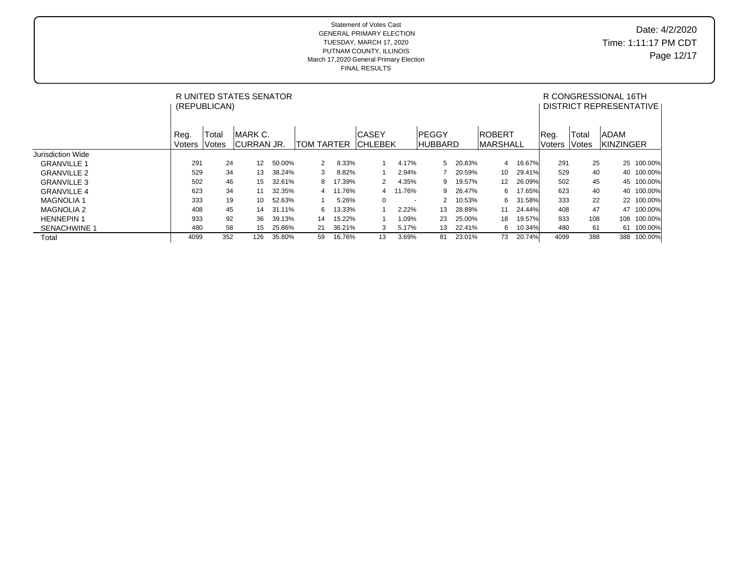## Date: 4/2/2020 Time: 1:11:17 PM CDT Page 12/17

|                     |                | (REPUBLICAN)   | R UNITED STATES SENATOR |        |                   |        |                                |          |                                |        |                                    |        |                       |                | R CONGRESSIONAL 16TH<br>DISTRICT REPRESENTATIVE |         |
|---------------------|----------------|----------------|-------------------------|--------|-------------------|--------|--------------------------------|----------|--------------------------------|--------|------------------------------------|--------|-----------------------|----------------|-------------------------------------------------|---------|
|                     | Reg.<br>Voters | Total<br>Votes | IMARK C.<br> CURRAN JR. |        | <b>TOM TARTER</b> |        | <b>CASEY</b><br><b>CHLEBEK</b> |          | <b>PEGGY</b><br><b>HUBBARD</b> |        | <b>IROBERT</b><br><b>IMARSHALL</b> |        | Reg.<br><b>Voters</b> | Total<br>Votes | ADAM<br><b>KINZINGER</b>                        |         |
| Jurisdiction Wide   |                |                |                         |        |                   |        |                                |          |                                |        |                                    |        |                       |                |                                                 |         |
| <b>GRANVILLE 1</b>  | 291            | 24             | 12                      | 50.00% | 2                 | 8.33%  |                                | 4.17%    | 5                              | 20.83% | 4                                  | 16.67% | 291                   | 25             | 25                                              | 100.00% |
| <b>GRANVILLE 2</b>  | 529            | 34             | 13                      | 38.24% | 3                 | 8.82%  |                                | 2.94%    |                                | 20.59% | 10                                 | 29.41% | 529                   | 40             | 40                                              | 100.00% |
| <b>GRANVILLE 3</b>  | 502            | 46             | 15                      | 32.61% | 8                 | 17.39% | 2                              | 4.35%    | 9                              | 19.57% | 12                                 | 26.09% | 502                   | 45             | 45                                              | 100.00% |
| <b>GRANVILLE 4</b>  | 623            | 34             | 11                      | 32.35% | 4                 | 11.76% |                                | 4 11.76% | 9                              | 26.47% | 6                                  | 17.65% | 623                   | 40             | 40                                              | 100.00% |
| <b>MAGNOLIA1</b>    | 333            | 19             | 10                      | 52.63% |                   | 5.26%  | $\Omega$                       | $\sim$   |                                | 10.53% | 6                                  | 31.58% | 333                   | 22             | 22                                              | 100.00% |
| <b>MAGNOLIA 2</b>   | 408            | 45             | 14                      | 31.11% | 6                 | 13.33% |                                | 2.22%    | 13                             | 28.89% | 11                                 | 24.44% | 408                   | 47             | 47                                              | 100.00% |
| <b>HENNEPIN1</b>    | 933            | 92             | 36                      | 39.13% | 14                | 15.22% |                                | $0.09\%$ | 23                             | 25.00% | 18                                 | 19.57% | 933                   | 108            | 108                                             | 100.00% |
| <b>SENACHWINE 1</b> | 480            | 58             | 15                      | 25.86% | 21                | 36.21% | 3                              | 5.17%    | 13                             | 22.41% | 6                                  | 10.34% | 480                   | 61             | 61                                              | 100.00% |
| Total               | 4099           | 352            | 126                     | 35.80% | 59                | 16.76% | 13                             | 3.69%    | 81                             | 23.01% | 73                                 | 20.74% | 4099                  | 388            | 388                                             | 100.00% |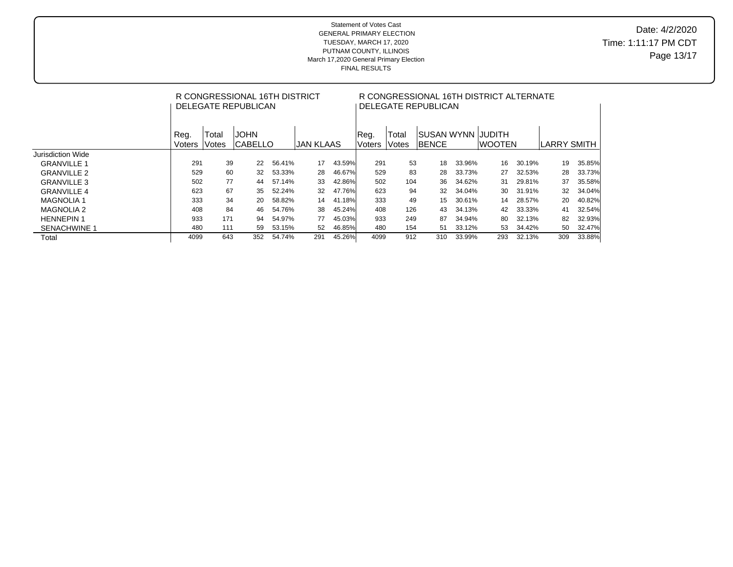## Date: 4/2/2020 Time: 1:11:17 PM CDT Page 13/17

|                     |                |                | R CONGRESSIONAL 16TH DISTRICT<br>DELEGATE REPUBLICAN |        |                  |        | R CONGRESSIONAL 16TH DISTRICT ALTERNATE<br>DELEGATE REPUBLICAN |                        |                                     |        |         |        |              |        |  |  |
|---------------------|----------------|----------------|------------------------------------------------------|--------|------------------|--------|----------------------------------------------------------------|------------------------|-------------------------------------|--------|---------|--------|--------------|--------|--|--|
|                     | Reg.<br>Voters | Total<br>Votes | <b>JOHN</b><br>ICABELLO                              |        | <b>JAN KLAAS</b> |        | Reg.<br>lVoters                                                | <b>Total</b><br>lVotes | ISUSAN WYNN IJUDITH<br><b>BENCE</b> |        | IWOOTEN |        | ILARRY SMITH |        |  |  |
| Jurisdiction Wide   |                |                |                                                      |        |                  |        |                                                                |                        |                                     |        |         |        |              |        |  |  |
| <b>GRANVILLE 1</b>  | 291            | 39             | 22                                                   | 56.41% | 17               | 43.59% | 291                                                            | 53                     | 18                                  | 33.96% | 16      | 30.19% | 19           | 35.85% |  |  |
| <b>GRANVILLE 2</b>  | 529            | 60             | 32                                                   | 53.33% | 28               | 46.67% | 529                                                            | 83                     | 28                                  | 33.73% | 27      | 32.53% | 28           | 33.73% |  |  |
| <b>GRANVILLE 3</b>  | 502            | 77             | 44                                                   | 57.14% | 33               | 42.86% | 502                                                            | 104                    | 36                                  | 34.62% | 31      | 29.81% | 37           | 35.58% |  |  |
| <b>GRANVILLE 4</b>  | 623            | 67             | 35                                                   | 52.24% | 32               | 47.76% | 623                                                            | 94                     | 32                                  | 34.04% | 30      | 31.91% | 32           | 34.04% |  |  |
| <b>MAGNOLIA 1</b>   | 333            | 34             | 20                                                   | 58.82% | 14               | 41.18% | 333                                                            | 49                     | 15                                  | 30.61% | 14      | 28.57% | 20           | 40.82% |  |  |
| <b>MAGNOLIA 2</b>   | 408            | 84             | 46                                                   | 54.76% | 38               | 45.24% | 408                                                            | 126                    | 43                                  | 34.13% | 42      | 33.33% | 41           | 32.54% |  |  |
| <b>HENNEPIN1</b>    | 933            | 171            | 94                                                   | 54.97% | 77               | 45.03% | 933                                                            | 249                    | 87                                  | 34.94% | 80      | 32.13% | 82           | 32.93% |  |  |
| <b>SENACHWINE 1</b> | 480            | 111            | 59                                                   | 53.15% | 52               | 46.85% | 480                                                            | 154                    | 51                                  | 33.12% | 53      | 34.42% | 50           | 32.47% |  |  |
| Total               | 4099           | 643            | 352                                                  | 54.74% | 291              | 45.26% | 4099                                                           | 912                    | 310                                 | 33.99% | 293     | 32.13% | 309          | 33.88% |  |  |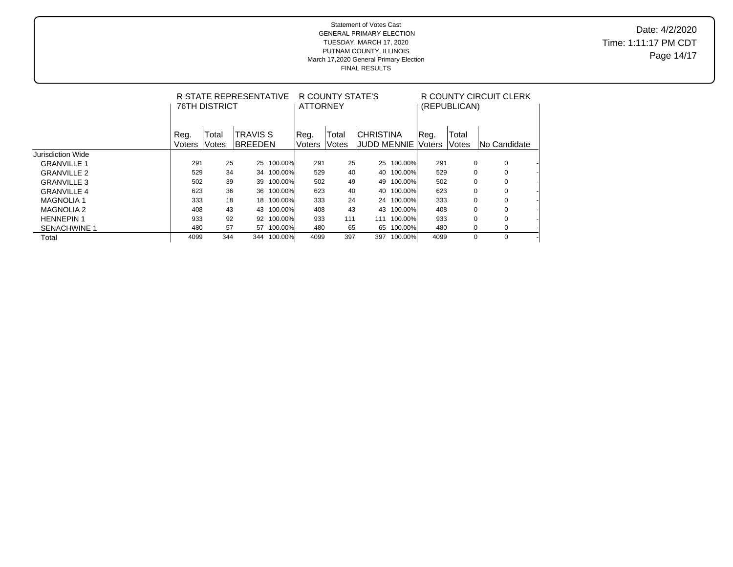Date: 4/2/2020 Time: 1:11:17 PM CDT Page 14/17

|                     |                | <b>76TH DISTRICT</b> | R STATE REPRESENTATIVE      |         | <b>ATTORNEY</b> | R COUNTY STATE'S |                                        |            | R COUNTY CIRCUIT CLERK<br>(REPUBLICAN) |                |                         |  |  |
|---------------------|----------------|----------------------|-----------------------------|---------|-----------------|------------------|----------------------------------------|------------|----------------------------------------|----------------|-------------------------|--|--|
|                     | Reg.<br>Voters | Total<br>Votes       | <b>TRAVIS S</b><br>IBREEDEN |         | Req.<br>Voters  | Total<br>Votes   | <b>CHRISTINA</b><br><b>JUDD MENNIE</b> |            | Reg.<br>Voters                         | Total<br>Votes | INo Candidate           |  |  |
| Jurisdiction Wide   |                |                      |                             |         |                 |                  |                                        |            |                                        |                |                         |  |  |
| <b>GRANVILLE 1</b>  | 291            | 25                   | 25                          | 100.00% | 291             | 25               | 25                                     | 100.00%    | 291                                    |                | 0<br>0                  |  |  |
| <b>GRANVILLE 2</b>  | 529            | 34                   | 34                          | 100.00% | 529             | 40               |                                        | 40 100.00% | 529                                    |                | $\Omega$<br>0           |  |  |
| <b>GRANVILLE 3</b>  | 502            | 39                   | 39                          | 100.00% | 502             | 49               | 49                                     | 100.00%    | 502                                    |                | $\Omega$<br>0           |  |  |
| <b>GRANVILLE 4</b>  | 623            | 36                   | 36                          | 100.00% | 623             | 40               |                                        | 40 100.00% | 623                                    |                | $\Omega$<br>0           |  |  |
| <b>MAGNOLIA 1</b>   | 333            | 18                   | 18                          | 100.00% | 333             | 24               |                                        | 24 100.00% | 333                                    |                | $\Omega$<br>0           |  |  |
| <b>MAGNOLIA 2</b>   | 408            | 43                   | 43                          | 100.00% | 408             | 43               | 43                                     | 100.00%    | 408                                    |                | $\Omega$<br>$\mathbf 0$ |  |  |
| <b>HENNEPIN1</b>    | 933            | 92                   | 92                          | 100.00% | 933             | 111              | 111                                    | 100.00%    | 933                                    |                | $\Omega$<br>0           |  |  |
| <b>SENACHWINE 1</b> | 480            | 57                   | 57                          | 100.00% | 480             | 65               | 65                                     | 100.00%    | 480                                    | 0              | 0                       |  |  |
| Total               | 4099           | 344                  | 344                         | 100.00% | 4099            | 397              | 397                                    | 100.00%    | 4099                                   | $\Omega$       | $\Omega$                |  |  |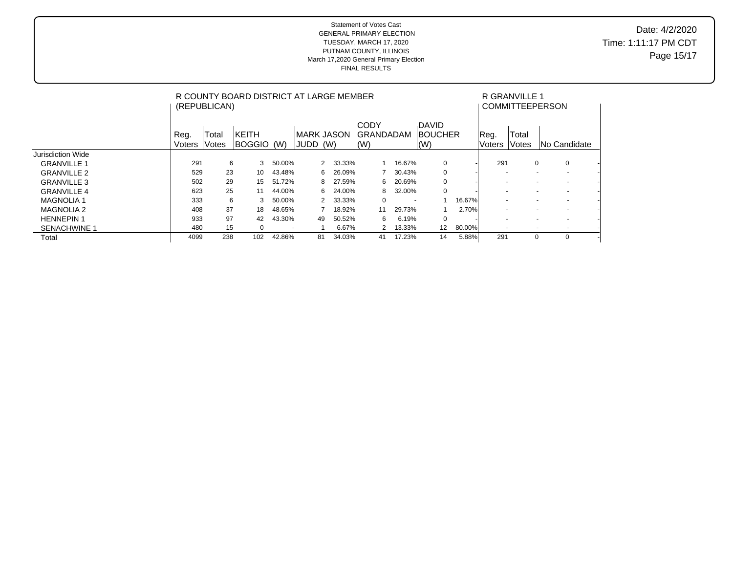Date: 4/2/2020 Time: 1:11:17 PM CDT Page 15/17

|                     | R COUNTY BOARD DISTRICT AT LARGE MEMBER<br>(REPUBLICAN) |                |                     |        |                                   |     |        |                                                             |        |                                                            |        |                          | R GRANVILLE 1  | <b>COMMITTEEPERSON</b>   |                          |  |
|---------------------|---------------------------------------------------------|----------------|---------------------|--------|-----------------------------------|-----|--------|-------------------------------------------------------------|--------|------------------------------------------------------------|--------|--------------------------|----------------|--------------------------|--------------------------|--|
|                     | Reg.<br><b>Voters</b>                                   | Total<br>Votes | KEITH<br>BOGGIO (W) |        | <b>IMARK JASON</b><br><b>JUDD</b> | (W) |        | <b>CODY</b><br><b>GRANDADAM</b><br>$\mathsf{I}(\mathsf{W})$ |        | <b>DAVID</b><br><b>BOUCHER</b><br>$\mathsf{I}(\mathsf{W})$ |        | Reg.<br>Voters           | Total<br>Votes |                          | INo Candidate            |  |
| Jurisdiction Wide   |                                                         |                |                     |        |                                   |     |        |                                                             |        |                                                            |        |                          |                |                          |                          |  |
| <b>GRANVILLE 1</b>  | 291                                                     | 6              | 3                   | 50.00% |                                   | 2   | 33.33% |                                                             | 16.67% | 0                                                          |        | 291                      |                | 0                        | 0                        |  |
| <b>GRANVILLE 2</b>  | 529                                                     | 23             | 10                  | 43.48% |                                   | 6   | 26.09% |                                                             | 30.43% | 0                                                          |        |                          |                | $\overline{\phantom{a}}$ | $\overline{\phantom{a}}$ |  |
| <b>GRANVILLE 3</b>  | 502                                                     | 29             | 15                  | 51.72% |                                   | 8   | 27.59% | 6                                                           | 20.69% | 0                                                          |        | $\overline{\phantom{a}}$ |                | $\overline{\phantom{a}}$ | $\overline{\phantom{a}}$ |  |
| <b>GRANVILLE 4</b>  | 623                                                     | 25             | 11                  | 44.00% |                                   | 6   | 24.00% | 8                                                           | 32.00% | 0                                                          |        |                          |                | $\overline{\phantom{a}}$ | $\overline{\phantom{a}}$ |  |
| <b>MAGNOLIA1</b>    | 333                                                     | 6              | 3                   | 50.00% |                                   | 2   | 33.33% | $\mathbf 0$                                                 |        | $\overline{\phantom{a}}$                                   | 16.67% |                          |                |                          |                          |  |
| <b>MAGNOLIA 2</b>   | 408                                                     | 37             | 18                  | 48.65% |                                   |     | 18.92% | 11                                                          | 29.73% |                                                            | 2.70%  |                          |                | $\overline{\phantom{a}}$ | $\overline{\phantom{a}}$ |  |
| <b>HENNEPIN1</b>    | 933                                                     | 97             | 42                  | 43.30% |                                   | 49  | 50.52% | 6                                                           | 6.19%  | $\mathbf 0$                                                |        | $\overline{\phantom{a}}$ |                | $\overline{\phantom{a}}$ | $\overline{\phantom{a}}$ |  |
| <b>SENACHWINE 1</b> | 480                                                     | 15             | 0                   |        |                                   |     | 6.67%  | 2                                                           | 13.33% | 12                                                         | 80.00% |                          |                |                          |                          |  |
| Total               | 4099                                                    | 238            | 102                 | 42.86% |                                   | 81  | 34.03% | 41                                                          | 17.23% | 14                                                         | 5.88%  | 291                      |                | 0                        | 0                        |  |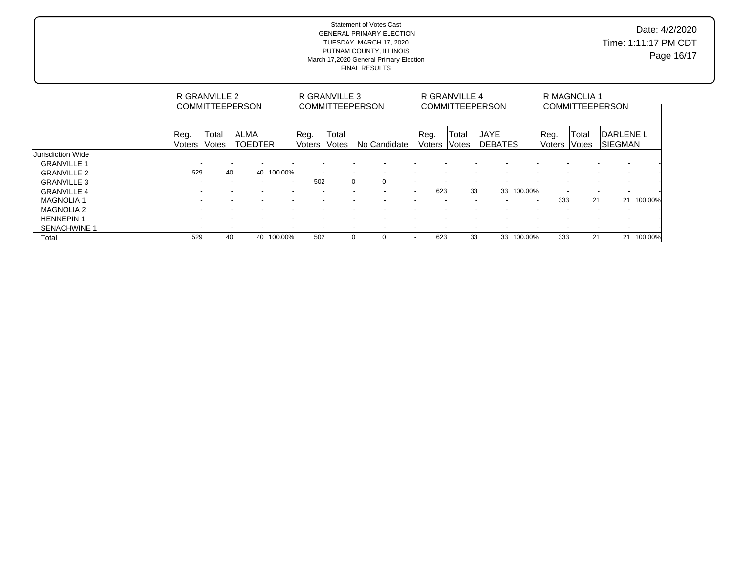Date: 4/2/2020 Time: 1:11:17 PM CDT Page 16/17

|                     | R GRANVILLE 2<br><b>COMMITTEEPERSON</b> |                |                                                      |         |                          | R GRANVILLE 3            | <b>COMMITTEEPERSON</b>                               |                | R GRANVILLE 4   | <b>COMMITTEEPERSON</b>         |            | R MAGNOLIA 1<br><b>COMMITTEEPERSON</b> |                |                                    |         |
|---------------------|-----------------------------------------|----------------|------------------------------------------------------|---------|--------------------------|--------------------------|------------------------------------------------------|----------------|-----------------|--------------------------------|------------|----------------------------------------|----------------|------------------------------------|---------|
|                     | Reg.<br>Voters                          | Total<br>Votes | <b>ALMA</b><br><b>TOEDTER</b>                        |         | Reg.<br>Voters           | Total<br><b>Votes</b>    | <b>No Candidate</b>                                  | Reg.<br>Voters | Total<br>lVotes | <b>JAYE</b><br><b>IDEBATES</b> |            | Reg.<br><b>Voters</b>                  | Total<br>Votes | <b>DARLENE L</b><br><b>SIEGMAN</b> |         |
| Jurisdiction Wide   |                                         |                |                                                      |         |                          |                          |                                                      |                |                 |                                |            |                                        |                |                                    |         |
| <b>GRANVILLE 1</b>  | $\overline{\phantom{a}}$                |                | $\overline{\phantom{a}}$<br>$\overline{\phantom{a}}$ |         |                          | $\overline{\phantom{a}}$ |                                                      |                |                 |                                |            |                                        |                |                                    |         |
| <b>GRANVILLE 2</b>  | 529                                     | 40             | 40                                                   | 100.00% | $\overline{\phantom{a}}$ |                          | $\overline{\phantom{a}}$<br>$\overline{\phantom{a}}$ |                |                 | $\overline{\phantom{a}}$       |            | $\overline{\phantom{a}}$               |                | $\overline{\phantom{0}}$           |         |
| <b>GRANVILLE 3</b>  |                                         |                | $\overline{\phantom{0}}$                             |         | 502                      |                          | $\mathbf 0$<br>$\mathbf 0$                           |                |                 | $\overline{\phantom{a}}$       |            |                                        |                |                                    |         |
| <b>GRANVILLE 4</b>  |                                         |                |                                                      |         |                          |                          |                                                      | 623            | 33              |                                | 33 100.00% |                                        |                |                                    |         |
| <b>MAGNOLIA1</b>    |                                         |                | $\overline{\phantom{a}}$                             |         |                          |                          | $\overline{\phantom{0}}$                             |                |                 | $\sim$                         |            | 333                                    | 21             | 21                                 | 100.00% |
| <b>MAGNOLIA 2</b>   |                                         |                | $\overline{\phantom{a}}$                             |         |                          | $\overline{\phantom{a}}$ | $\overline{\phantom{a}}$<br>$\overline{\phantom{a}}$ |                |                 | $\overline{\phantom{a}}$       |            | $\overline{\phantom{a}}$               |                | $\overline{\phantom{a}}$           |         |
| <b>HENNEPIN1</b>    |                                         |                | $\overline{\phantom{0}}$                             |         |                          |                          | $\overline{\phantom{a}}$<br>$\overline{\phantom{a}}$ |                |                 | $\sim$                         |            |                                        |                |                                    |         |
| <b>SENACHWINE 1</b> | $\overline{\phantom{a}}$                |                |                                                      |         |                          |                          | $\overline{\phantom{a}}$<br>$\overline{\phantom{a}}$ |                |                 |                                |            |                                        | $\sim$         |                                    |         |
| Total               | 529                                     | 40             | 40                                                   | 100.00% | 502                      |                          | 0<br>$\Omega$                                        | 623            | 33              |                                | 33 100.00% | 333                                    | 21             | 21                                 | 100.00% |